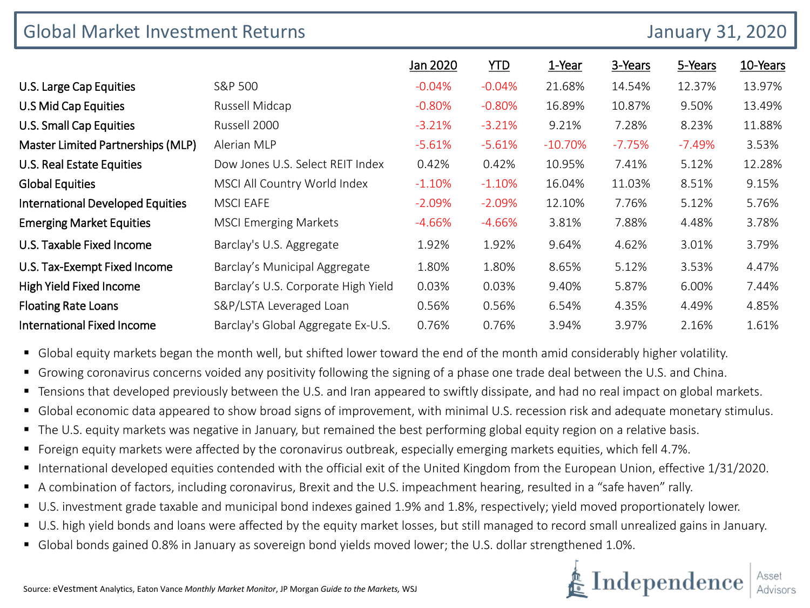| <b>Global Market Investment Returns</b> |                                     | <b>January 31, 2020</b> |           |           |          |          |          |
|-----------------------------------------|-------------------------------------|-------------------------|-----------|-----------|----------|----------|----------|
|                                         |                                     | Jan 2020                | YID       | 1-Year    | 3-Years  | 5-Years  | 10-Years |
| U.S. Large Cap Equities                 | S&P 500                             | $-0.04%$                | $-0.04%$  | 21.68%    | 14.54%   | 12.37%   | 13.97%   |
| U.S Mid Cap Equities                    | Russell Midcap                      | $-0.80%$                | $-0.80%$  | 16.89%    | 10.87%   | 9.50%    | 13.49%   |
| U.S. Small Cap Equities                 | Russell 2000                        | $-3.21%$                | $-3.21%$  | 9.21%     | 7.28%    | 8.23%    | 11.88%   |
| Master Limited Partnerships (MLP)       | Alerian MLP                         | $-5.61%$                | $-5.61%$  | $-10.70%$ | $-7.75%$ | $-7.49%$ | 3.53%    |
| U.S. Real Estate Equities               | Dow Jones U.S. Select REIT Index    | 0.42%                   | 0.42%     | 10.95%    | 7.41%    | 5.12%    | 12.28%   |
| <b>Global Equities</b>                  | MSCI All Country World Index        | $-1.10%$                | $-1.10\%$ | 16.04%    | 11.03%   | 8.51%    | 9.15%    |
| <b>International Developed Equities</b> | <b>MSCI EAFE</b>                    | $-2.09%$                | $-2.09%$  | 12.10%    | 7.76%    | 5.12%    | 5.76%    |
| <b>Emerging Market Equities</b>         | <b>MSCI Emerging Markets</b>        | $-4.66%$                | $-4.66%$  | 3.81%     | 7.88%    | 4.48%    | 3.78%    |
| U.S. Taxable Fixed Income               | Barclay's U.S. Aggregate            | 1.92%                   | 1.92%     | 9.64%     | 4.62%    | 3.01%    | 3.79%    |
| U.S. Tax-Exempt Fixed Income            | Barclay's Municipal Aggregate       | 1.80%                   | 1.80%     | 8.65%     | 5.12%    | 3.53%    | 4.47%    |
| <b>High Yield Fixed Income</b>          | Barclay's U.S. Corporate High Yield | 0.03%                   | 0.03%     | 9.40%     | 5.87%    | 6.00%    | 7.44%    |
| <b>Floating Rate Loans</b>              | S&P/LSTA Leveraged Loan             | 0.56%                   | 0.56%     | 6.54%     | 4.35%    | 4.49%    | 4.85%    |
| <b>International Fixed Income</b>       | Barclay's Global Aggregate Ex-U.S.  | 0.76%                   | 0.76%     | 3.94%     | 3.97%    | 2.16%    | 1.61%    |

- Global equity markets began the month well, but shifted lower toward the end of the month amid considerably higher volatility.
- Growing coronavirus concerns voided any positivity following the signing of a phase one trade deal between the U.S. and China.
- Tensions that developed previously between the U.S. and Iran appeared to swiftly dissipate, and had no real impact on global markets.
- **G** Global economic data appeared to show broad signs of improvement, with minimal U.S. recession risk and adequate monetary stimulus.
- The U.S. equity markets was negative in January, but remained the best performing global equity region on a relative basis.
- Foreign equity markets were affected by the coronavirus outbreak, especially emerging markets equities, which fell 4.7%.
- International developed equities contended with the official exit of the United Kingdom from the European Union, effective 1/31/2020.
- A combination of factors, including coronavirus, Brexit and the U.S. impeachment hearing, resulted in a "safe haven" rally.
- U.S. investment grade taxable and municipal bond indexes gained 1.9% and 1.8%, respectively; yield moved proportionately lower.
- U.S. high yield bonds and loans were affected by the equity market losses, but still managed to record small unrealized gains in January.
- Global bonds gained 0.8% in January as sovereign bond yields moved lower; the U.S. dollar strengthened 1.0%.

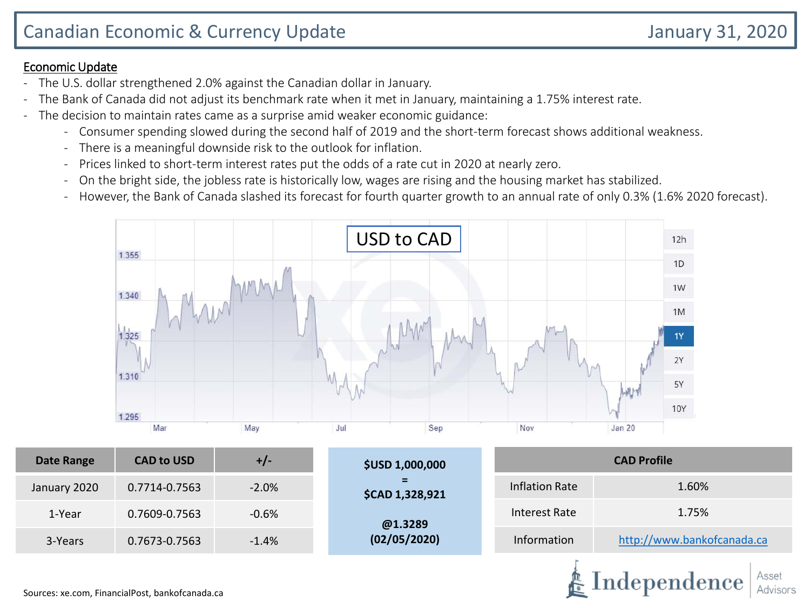- The U.S. dollar strengthened 2.0% against the Canadian dollar in January.
- The Bank of Canada did not adjust its benchmark rate when it met in January, maintaining a 1.75% interest rate.
- The decision to maintain rates came as a surprise amid weaker economic guidance:
	- Consumer spending slowed during the second half of 2019 and the short-term forecast shows additional weakness.
	- There is a meaningful downside risk to the outlook for inflation.
	- Prices linked to short-term interest rates put the odds of a rate cut in 2020 at nearly zero.
	- On the bright side, the jobless rate is historically low, wages are rising and the housing market has stabilized.
	- However, the Bank of Canada slashed its forecast for fourth quarter growth to an annual rate of only 0.3% (1.6% 2020 forecast).